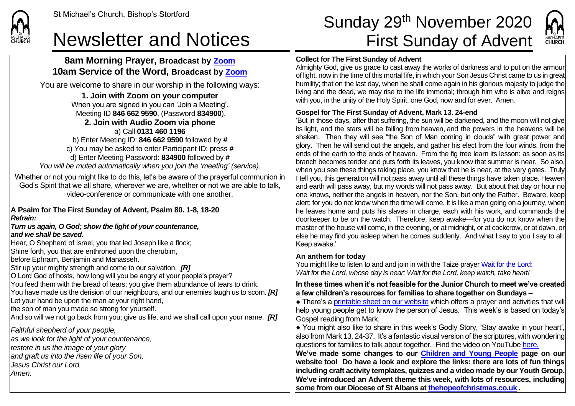### **8am Morning Prayer, Broadcast by [Zoom](https://zoom.us/) 10am Service of the Word, Broadcast by [Zoom](https://zoom.us/)**

You are welcome to share in our worship in the following ways:

### **1. Join with Zoom on your computer**

When you are signed in you can 'Join a Meeting'. Meeting ID **846 662 9590**, (Password **834900**). **2. Join with Audio Zoom via phone**  a) Call **0131 460 1196** b) Enter Meeting ID: **846 662 9590** followed by **#** c) You may be asked to enter Participant ID: press **#**

d) Enter Meeting Password: **834900** followed by **#** *You will be muted automatically when you join the 'meeting' (service).*

Whether or not you might like to do this, let's be aware of the prayerful communion in God's Spirit that we all share, wherever we are, whether or not we are able to talk, video-conference or communicate with one another.

#### **A Psalm for The First Sunday of Advent, Psalm 80. 1-8, 18-20** *Refrain:*

#### *Turn us again, O God; show the light of your countenance, and we shall be saved.*

Hear, O Shepherd of Israel, you that led Joseph like a flock; Shine forth, you that are enthroned upon the cherubim, before Ephraim, Benjamin and Manasseh. Stir up your mighty strength and come to our salvation. *[R]* O Lord God of hosts, how long will you be angry at your people's prayer? You feed them with the bread of tears; you give them abundance of tears to drink. You have made us the derision of our neighbours, and our enemies laugh us to scorn. *[R]* Let your hand be upon the man at your right hand, the son of man you made so strong for yourself. And so will we not go back from you; give us life, and we shall call upon your name. *[R] Faithful shepherd of your people, as we look for the light of your countenance, restore in us the image of your glory*

*and graft us into the risen life of your Son,*

*Jesus Christ our Lord.*

*Amen.*

# St Michael's Church, Bishop's Stortford **Sunday 29<sup>th</sup> November 2020** Newsletter and Notices First Sunday of Advent



#### **Collect for The First Sunday of Advent**

Almighty God, give us grace to cast away the works of darkness and to put on the armour of light, now in the time of this mortal life, in which your Son Jesus Christ came to us in great humility; that on the last day, when he shall come again in his glorious majesty to judge the living and the dead, we may rise to the life immortal; through him who is alive and reigns with you, in the unity of the Holy Spirit, one God, now and for ever. Amen.

#### **Gospel for The First Sunday of Advent, Mark 13. 24-end**

'But in those days, after that suffering, the sun will be darkened, and the moon will not give its light, and the stars will be falling from heaven, and the powers in the heavens will be shaken. Then they will see "the Son of Man coming in clouds" with great power and dlory. Then he will send out the angels, and gather his elect from the four winds, from the ends of the earth to the ends of heaven. From the fig tree learn its lesson: as soon as its branch becomes tender and puts forth its leaves, you know that summer is near. So also, when you see these things taking place, you know that he is near, at the very gates. Truly If tell you, this generation will not pass away until all these things have taken place. Heaven and earth will pass away, but my words will not pass away. But about that day or hour no one knows, neither the angels in heaven, nor the Son, but only the Father. Beware, keep alert; for you do not know when the time will come. It is like a man going on a journey, when he leaves home and puts his slaves in charge, each with his work, and commands the doorkeeper to be on the watch. Therefore, keep awake—for you do not know when the master of the house will come, in the evening, or at midnight, or at cockcrow, or at dawn, or else he may find you asleep when he comes suddenly. And what I say to you I say to all: Keep awake.'

#### **An anthem for today**

You might like to listen to and and join in with the Taize prayer [Wait for the Lord:](https://www.youtube.com/watch?v=s7GexIvX8HU&list=RDs7GexIvX8HU&start_radio=1&t=0&t=29&t=29) *Wait for the Lord, whose day is near; Wait for the Lord, keep watch, take heart!*

**In these times when it's not feasible for the Junior Church to meet we've created a few children's resources for families to share together on Sundays –**

 $\bullet$  There's a [printable sheet on our website](https://saintmichaelweb.org.uk/Groups/310496/Children_and_Young.aspx) which offers a prayer and activities that will help young people get to know the person of Jesus. This week's is based on today's Gospel reading from Mark.

 $\bullet$  You might also like to share in this week's Godly Story, 'Stay awake in your heart', also from Mark 13. 24-37. It's a fantastic visual version of the scriptures, with wondering questions for families to talk about together. Find the video on YouTube [here.](https://www.youtube.com/watch?v=ailUvM_fPVk)

**We've made some changes to our [Children and Young People](https://saintmichaelweb.org.uk/Groups/310496/Children_and_Young.aspx) page on our website too! Do have a look and explore the links: there are lots of fun things including craft activity templates, quizzes and a video made by our Youth Group. We've introduced an Advent theme this week, with lots of resources, including some from our Diocese of St Albans at [thehopeofchristmas.co.uk](http://thehopeofchristmas.co.uk/)** *.*